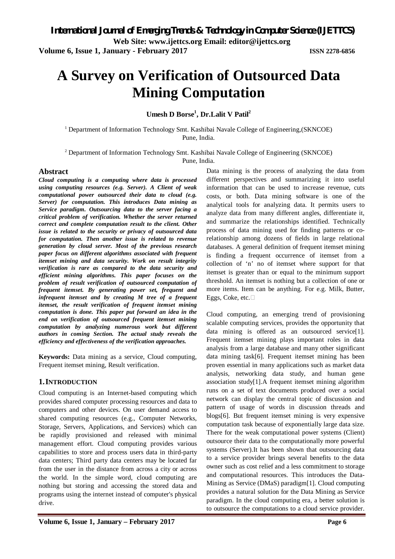**Volume 6, Issue 1, January - February 2017 ISSN 2278-6856**

# **A Survey on Verification of Outsourced Data Mining Computation**

**Umesh D Borse<sup>1</sup> , Dr.Lalit V Patil<sup>2</sup>**

<sup>1</sup> Department of Information Technology Smt. Kashibai Navale College of Engineering,(SKNCOE) Pune, India.

<sup>2</sup> Department of Information Technology Smt. Kashibai Navale College of Engineering (SKNCOE) Pune, India.

#### **Abstract**

*Cloud computing is a computing where data is processed using computing resources (e.g. Server). A Client of weak computational power outsourced their data to cloud (e.g. Server) for computation. This introduces Data mining as Service paradigm. Outsourcing data to the server facing a critical problem of verification. Whether the server returned correct and complete computation result to the client. Other issue is related to the security or privacy of outsourced data for computation. Then another issue is related to revenue generation by cloud server. Most of the previous research paper focus on different algorithms associated with frequent itemset mining and data security. Work on result integrity verification is rare as compared to the data security and efficient mining algorithms. This paper focuses on the problem of result verification of outsourced computation of frequent itemset. By generating power set, frequent and infrequent itemset and by creating M tree of a frequent itemset, the result verification of frequent itemset mining computation is done. This paper put forward an idea in the end on verification of outsourced frequent itemset mining computation by analyzing numerous work but different authors in coming Section. The actual study reveals the efficiency and effectiveness of the verification approaches.*

**Keywords:** Data mining as a service, Cloud computing, Frequent itemset mining, Result verification.

#### **1.INTRODUCTION**

Cloud computing is an Internet-based computing which provides shared computer processing resources and data to computers and other devices. On user demand access to shared computing resources (e.g., Computer Networks, Storage, Servers, Applications, and Services) which can be rapidly provisioned and released with minimal management effort. Cloud computing provides various capabilities to store and process users data in third-party data centers; Third party data centers may be located far from the user in the distance from across a city or across the world. In the simple word, cloud computing are nothing but storing and accessing the stored data and programs using the internet instead of computer's physical drive.

Data mining is the process of analyzing the data from different perspectives and summarizing it into useful information that can be used to increase revenue, cuts costs, or both. Data mining software is one of the analytical tools for analyzing data. It permits users to analyze data from many different angles, differentiate it, and summarize the relationships identified. Technically process of data mining used for finding patterns or corelationship among dozens of fields in large relational databases. A general definition of frequent itemset mining is finding a frequent occurrence of itemset from a collection of 'n' no of itemset where support for that itemset is greater than or equal to the minimum support threshold. An itemset is nothing but a collection of one or more items. Item can be anything. For e.g. Milk, Butter, Eggs, Coke, etc.

Cloud computing, an emerging trend of provisioning scalable computing services, provides the opportunity that data mining is offered as an outsourced service[1]. Frequent itemset mining plays important roles in data analysis from a large database and many other significant data mining task[6]. Frequent itemset mining has been proven essential in many applications such as market data analysis, networking data study, and human gene association study[1].A frequent itemset mining algorithm runs on a set of text documents produced over a social network can display the central topic of discussion and pattern of usage of words in discussion threads and blogs[6]. But frequent itemset mining is very expensive computation task because of exponentially large data size. There for the weak computational power systems (Client) outsource their data to the computationally more powerful systems (Server).It has been shown that outsourcing data to a service provider brings several benefits to the data owner such as cost relief and a less commitment to storage and computational resources. This introduces the Data-Mining as Service (DMaS) paradigm[1]. Cloud computing provides a natural solution for the Data Mining as Service paradigm. In the cloud computing era, a better solution is to outsource the computations to a cloud service provider.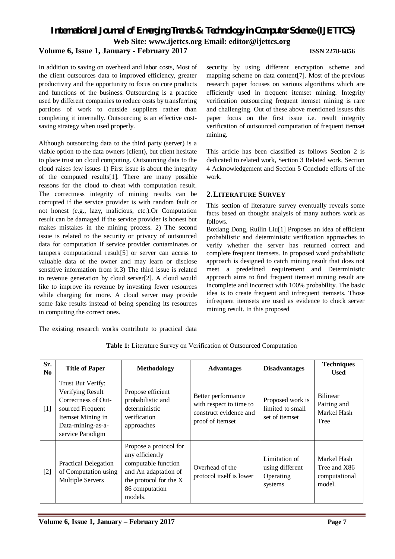### *International Journal of Emerging Trends & Technology in Computer Science (IJETTCS)* **Web Site: www.ijettcs.org Email: editor@ijettcs.org Volume 6, Issue 1, January - February 2017 ISSN 2278-6856**

In addition to saving on overhead and labor costs, Most of the client outsources data to improved efficiency, greater productivity and the opportunity to focus on core products and functions of the business. Outsourcing is a practice used by different companies to reduce costs by transferring portions of work to outside suppliers rather than completing it internally. Outsourcing is an effective costsaving strategy when used properly.

Although outsourcing data to the third party (server) is a viable option to the data owners (client), but client hesitate to place trust on cloud computing. Outsourcing data to the cloud raises few issues 1) First issue is about the integrity of the computed results[1]. There are many possible reasons for the cloud to cheat with computation result. The correctness integrity of mining results can be corrupted if the service provider is with random fault or not honest (e.g., lazy, malicious, etc.).Or Computation result can be damaged if the service provider is honest but makes mistakes in the mining process. 2) The second issue is related to the security or privacy of outsourced data for computation if service provider contaminates or tampers computational result[5] or server can access to valuable data of the owner and may learn or disclose sensitive information from it.3) The third issue is related to revenue generation by cloud server[2]. A cloud would like to improve its revenue by investing fewer resources while charging for more. A cloud server may provide some fake results instead of being spending its resources in computing the correct ones.

security by using different encryption scheme and mapping scheme on data content[7]. Most of the previous research paper focuses on various algorithms which are efficiently used in frequent itemset mining. Integrity verification outsourcing frequent itemset mining is rare and challenging. Out of these above mentioned issues this paper focus on the first issue i.e. result integrity verification of outsourced computation of frequent itemset mining.

This article has been classified as follows Section 2 is dedicated to related work, Section 3 Related work, Section 4 Acknowledgement and Section 5 Conclude efforts of the work.

#### **2.LITERATURE SURVEY**

This section of literature survey eventually reveals some facts based on thought analysis of many authors work as follows.

Boxiang Dong, Ruilin Liu[1] Proposes an idea of efficient probabilistic and deterministic verification approaches to verify whether the server has returned correct and complete frequent itemsets. In proposed word probabilistic approach is designed to catch mining result that does not meet a predefined requirement and Deterministic approach aims to find frequent itemset mining result are incomplete and incorrect with 100% probability. The basic idea is to create frequent and infrequent itemsets. Those infrequent itemsets are used as evidence to check server mining result. In this proposed

The existing research works contribute to practical data

| Sr.<br>N <sub>0</sub> | <b>Title of Paper</b>                                                                                                                          | <b>Methodology</b>                                                                                                                              | <b>Advantages</b>                                                                           | <b>Disadvantages</b>                                     | <b>Techniques</b><br><b>Used</b>                       |
|-----------------------|------------------------------------------------------------------------------------------------------------------------------------------------|-------------------------------------------------------------------------------------------------------------------------------------------------|---------------------------------------------------------------------------------------------|----------------------------------------------------------|--------------------------------------------------------|
| $[1]$                 | Trust But Verify:<br>Verifying Result<br>Correctness of Out-<br>sourced Frequent<br>Itemset Mining in<br>Data-mining-as-a-<br>service Paradigm | Propose efficient<br>probabilistic and<br>deterministic<br>verification<br>approaches                                                           | Better performance<br>with respect to time to<br>construct evidence and<br>proof of itemset | Proposed work is<br>limited to small<br>set of itemset   | <b>Bilinear</b><br>Pairing and<br>Markel Hash<br>Tree  |
| $[2]$                 | Practical Delegation<br>of Computation using<br><b>Multiple Servers</b>                                                                        | Propose a protocol for<br>any efficiently<br>computable function<br>and An adaptation of<br>the protocol for the X<br>86 computation<br>models. | Overhead of the<br>protocol itself is lower                                                 | Limitation of<br>using different<br>Operating<br>systems | Markel Hash<br>Tree and X86<br>computational<br>model. |

**Table 1:** Literature Survey on Verification of Outsourced Computation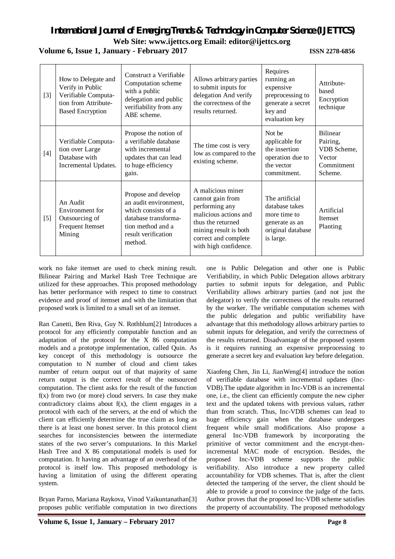# *International Journal of Emerging Trends & Technology in Computer Science (IJETTCS)*

**Web Site: www.ijettcs.org Email: editor@ijettcs.org** 

### **Volume 6, Issue 1, January - February 2017 ISSN 2278-6856**

| $[3]$ | How to Delegate and<br>Verify in Public<br>Verifiable Computa-<br>tion from Attribute-<br><b>Based Encryption</b> | Construct a Verifiable<br>Computation scheme<br>with a public<br>delegation and public<br>verifiability from any<br>ABE scheme.                    | Allows arbitrary parties<br>to submit inputs for<br>delegation And verify<br>the correctness of the<br>results returned.                                                        | Requires<br>running an<br>expensive<br>preprocessing to<br>generate a secret<br>key and<br>evaluation key | Attribute-<br>based<br>Encryption<br>technique                                |
|-------|-------------------------------------------------------------------------------------------------------------------|----------------------------------------------------------------------------------------------------------------------------------------------------|---------------------------------------------------------------------------------------------------------------------------------------------------------------------------------|-----------------------------------------------------------------------------------------------------------|-------------------------------------------------------------------------------|
| [4]   | Verifiable Computa-<br>tion over Large<br>Database with<br>Incremental Updates.                                   | Propose the notion of<br>a verifiable database<br>with incremental<br>updates that can lead<br>to huge efficiency<br>gain.                         | The time cost is very<br>low as compared to the<br>existing scheme.                                                                                                             | Not be<br>applicable for<br>the insertion<br>operation due to<br>the vector<br>commitment.                | <b>Bilinear</b><br>Pairing,<br>VDB Scheme,<br>Vector<br>Commitment<br>Scheme. |
| $[5]$ | An Audit<br>Environment for<br>Outsourcing of<br>Frequent Itemset<br>Mining                                       | Propose and develop<br>an audit environment,<br>which consists of a<br>database transforma-<br>tion method and a<br>result verification<br>method. | A malicious miner<br>cannot gain from<br>performing any<br>malicious actions and<br>thus the returned<br>mining result is both<br>correct and complete<br>with high confidence. | The artificial<br>database takes<br>more time to<br>generate as an<br>original database<br>is large.      | Artificial<br><b>Itemset</b><br>Planting                                      |

work no fake itemset are used to check mining result. Bilinear Pairing and Markel Hash Tree Technique are utilized for these approaches. This proposed methodology has better performance with respect to time to construct evidence and proof of itemset and with the limitation that proposed work is limited to a small set of an itemset.

Ran Canetti, Ben Riva, Guy N. Rothblum[2] Introduces a protocol for any efficiently computable function and an adaptation of the protocol for the X 86 computation models and a prototype implementation, called Quin. As key concept of this methodology is outsource the computation to N number of cloud and client takes number of return output out of that majority of same return output is the correct result of the outsourced computation. The client asks for the result of the function  $f(x)$  from two (or more) cloud servers. In case they make contradictory claims about  $f(x)$ , the client engages in a protocol with each of the servers, at the end of which the client can efficiently determine the true claim as long as there is at least one honest server. In this protocol client searches for inconsistencies between the intermediate states of the two server's computations. In this Markel Hash Tree and X 86 computational models is used for computation. It having an advantage of an overhead of the protocol is itself low. This proposed methodology is having a limitation of using the different operating system.

Bryan Parno, Mariana Raykova, Vinod Vaikuntanathan[3] proposes public verifiable computation in two directions

one is Public Delegation and other one is Public Verifiability, in which Public Delegation allows arbitrary parties to submit inputs for delegation, and Public Verifiability allows arbitrary parties (and not just the delegator) to verify the correctness of the results returned by the worker. The verifiable computation schemes with the public delegation and public verifiability have advantage that this methodology allows arbitrary parties to submit inputs for delegation, and verify the correctness of the results returned. Disadvantage of the proposed system is it requires running an expensive preprocessing to generate a secret key and evaluation key before delegation.

Xiaofeng Chen, Jin Li, JianWeng[4] introduce the notion of verifiable database with incremental updates (Inc-VDB).The update algorithm in Inc-VDB is an incremental one, i.e., the client can efficiently compute the new cipher text and the updated tokens with previous values, rather than from scratch. Thus, Inc-VDB schemes can lead to huge efficiency gain when the database undergoes frequent while small modifications. Also propose a general Inc-VDB framework by incorporating the primitive of vector commitment and the encrypt-thenincremental MAC mode of encryption. Besides, the proposed Inc-VDB scheme supports the public verifiability. Also introduce a new property called accountability for VDB schemes. That is, after the client detected the tampering of the server, the client should be able to provide a proof to convince the judge of the facts. Author proves that the proposed Inc-VDB scheme satisfies the property of accountability. The proposed methodology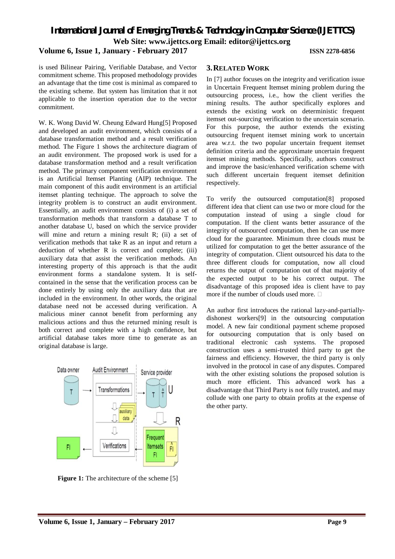*International Journal of Emerging Trends & Technology in Computer Science (IJETTCS)* **Web Site: www.ijettcs.org Email: editor@ijettcs.org** 

#### **Volume 6, Issue 1, January - February 2017 ISSN 2278-6856**

is used Bilinear Pairing, Verifiable Database, and Vector commitment scheme. This proposed methodology provides an advantage that the time cost is minimal as compared to the existing scheme. But system has limitation that it not applicable to the insertion operation due to the vector commitment.

W. K. Wong David W. Cheung Edward Hung[5] Proposed and developed an audit environment, which consists of a database transformation method and a result verification method. The Figure 1 shows the architecture diagram of an audit environment. The proposed work is used for a database transformation method and a result verification method. The primary component verification environment is an Artificial Itemset Planting (AIP) technique. The main component of this audit environment is an artificial itemset planting technique. The approach to solve the integrity problem is to construct an audit environment. Essentially, an audit environment consists of (i) a set of transformation methods that transform a database T to another database U, based on which the service provider will mine and return a mining result R; (ii) a set of verification methods that take R as an input and return a deduction of whether R is correct and complete; (iii) auxiliary data that assist the verification methods. An interesting property of this approach is that the audit environment forms a standalone system. It is selfcontained in the sense that the verification process can be done entirely by using only the auxiliary data that are included in the environment. In other words, the original database need not be accessed during verification. A malicious miner cannot benefit from performing any malicious actions and thus the returned mining result is both correct and complete with a high confidence, but artificial database takes more time to generate as an original database is large.



**Figure 1:** The architecture of the scheme [5]

#### **3.RELATED WORK**

In [7] author focuses on the integrity and verification issue in Uncertain Frequent Itemset mining problem during the outsourcing process, i.e., how the client verifies the mining results. The author specifically explores and extends the existing work on deterministic frequent itemset out-sourcing verification to the uncertain scenario. For this purpose, the author extends the existing outsourcing frequent itemset mining work to uncertain area w.r.t. the two popular uncertain frequent itemset definition criteria and the approximate uncertain frequent itemset mining methods. Specifically, authors construct and improve the basic/enhanced verification scheme with such different uncertain frequent itemset definition respectively.

To verify the outsourced computation[8] proposed different idea that client can use two or more cloud for the computation instead of using a single cloud for computation. If the client wants better assurance of the integrity of outsourced computation, then he can use more cloud for the guarantee. Minimum three clouds must be utilized for computation to get the better assurance of the integrity of computation. Client outsourced his data to the three different clouds for computation, now all cloud returns the output of computation out of that majority of the expected output to be his correct output. The disadvantage of this proposed idea is client have to pay more if the number of clouds used more.

An author first introduces the rational lazy-and-partiallydishonest workers[9] in the outsourcing computation model. A new fair conditional payment scheme proposed for outsourcing computation that is only based on traditional electronic cash systems. The proposed construction uses a semi-trusted third party to get the fairness and efficiency. However, the third party is only involved in the protocol in case of any disputes. Compared with the other existing solutions the proposed solution is much more efficient. This advanced work has a disadvantage that Third Party is not fully trusted, and may collude with one party to obtain profits at the expense of the other party.